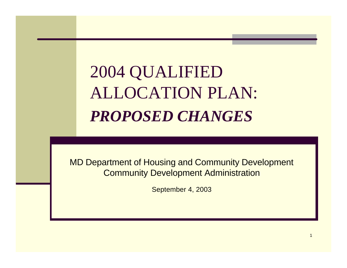# 2004 QUALIFIED ALLOCATION PLAN: *PROPOSED CHANGES*

MD Department of Housing and Community Development Community Development Administration

September 4, 2003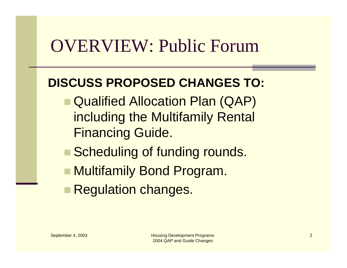### OVERVIEW: Public Forum

#### **DISCUSS PROPOSED CHANGES TO:**

- Qualified Allocation Plan (QAP) including the Multifamily Rental Financing Guide.
- Scheduling of funding rounds.
- **n Multifamily Bond Program.**
- **Regulation changes.**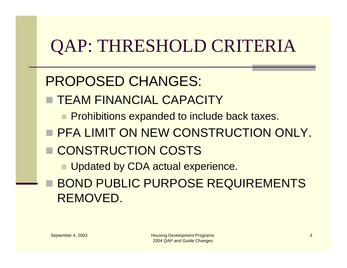# QAP: THRESHOLD CRITERIA

#### PROPOSED CHANGES:

TEAM FINANCIAL CAPACITY

**n Prohibitions expanded to include back taxes.** 

**E PFA LIMIT ON NEW CONSTRUCTION ONLY.** 

**E CONSTRUCTION COSTS** 

**Updated by CDA actual experience.** 

**BOND PUBLIC PURPOSE REQUIREMENTS** REMOVED.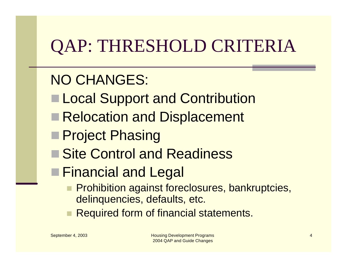# QAP: THRESHOLD CRITERIA

#### NO CHANGES:

- **Local Support and Contribution**
- Relocation and Displacement
- **Project Phasing**
- **Site Control and Readiness**
- Financial and Legal
	- **Prohibition against foreclosures, bankruptcies,** delinquencies, defaults, etc.
	- **Required form of financial statements.**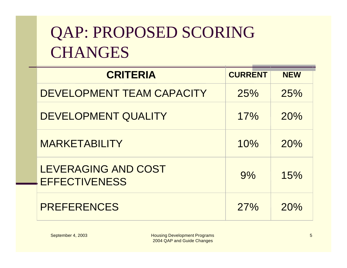## QAP: PROPOSED SCORING **CHANGES**

| <b>CRITERIA</b>                             | <b>CURRENT</b> | <b>NEW</b> |
|---------------------------------------------|----------------|------------|
| <b>DEVELOPMENT TEAM CAPACITY</b>            | 25%            | 25%        |
| <b>DEVELOPMENT QUALITY</b>                  | 17%            | 20%        |
| <b>MARKETABILITY</b>                        | 10%            | 20%        |
| LEVERAGING AND COST<br><b>EFFECTIVENESS</b> | 9%             | 15%        |
| <b>PREFERENCES</b>                          | 27%            | 20%        |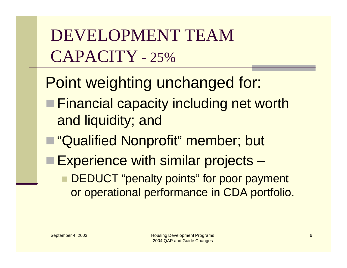DEVELOPMENT TEAM CAPACITY - 25%

Point weighting unchanged for:

- **Financial capacity including net worth** and liquidity; and
- "Qualified Nonprofit" member; but
- Experience with similar projects
	- DEDUCT "penalty points" for poor payment or operational performance in CDA portfolio.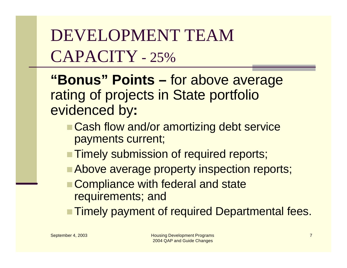DEVELOPMENT TEAM CAPACITY - 25%

**"Bonus" Points –** for above average rating of projects in State portfolio evidenced by**:**

- Cash flow and/or amortizing debt service payments current;
- **Timely submission of required reports;**
- Above average property inspection reports;
- Compliance with federal and state requirements; and
- **Timely payment of required Departmental fees.**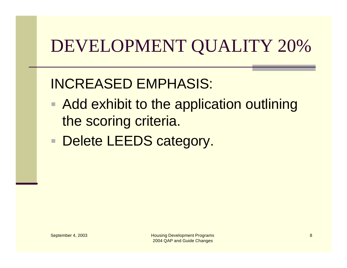# DEVELOPMENT QUALITY 20%

#### INCREASED EMPHASIS:

- Add exhibit to the application outlining the scoring criteria.
- Delete LEEDS category.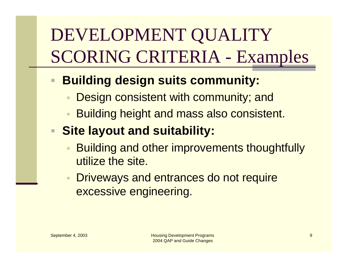# DEVELOPMENT QUALITY SCORING CRITERIA - Examples

#### ■ Building design suits community:

- **Design consistent with community; and**
- **Building height and mass also consistent.**

#### **Site layout and suitability:**

- **Building and other improvements thoughtfully** utilize the site.
- **Driveways and entrances do not require** excessive engineering.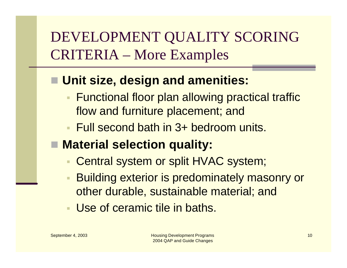#### DEVELOPMENT QUALITY SCORING CRITERIA – More Examples

#### ■ Unit size, design and amenities:

- **Functional floor plan allowing practical traffic** flow and furniture placement; and
- Full second bath in 3+ bedroom units.
- Material selection quality:
	- Central system or split HVAC system;
	- **Building exterior is predominately masonry or** other durable, sustainable material; and
	- **Use of ceramic tile in baths.**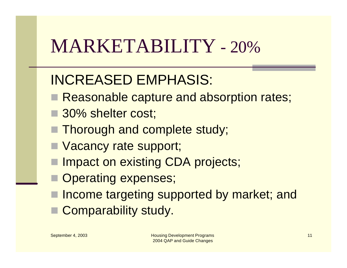# MARKETABILITY - 20%

#### INCREASED EMPHASIS:

- Reasonable capture and absorption rates;
- 30% shelter cost;
- Thorough and complete study;
- **N** Vacancy rate support;
- Impact on existing CDA projects;
- Operating expenses;
- Income targeting supported by market; and
- Comparability study.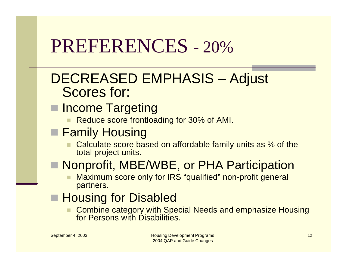# PREFERENCES - 20%

#### DECREASED EMPHASIS – Adjust Scores for:

- **n** Income Targeting
	- Reduce score frontloading for 30% of AMI.
- **Family Housing** 
	- Calculate score based on affordable family units as % of the total project units.
- **Nonprofit, MBE/WBE, or PHA Participation** 
	- Maximum score only for IRS "qualified" non-profit general partners.
- **Housing for Disabled** 
	- Combine category with Special Needs and emphasize Housing for Persons with Disabilities.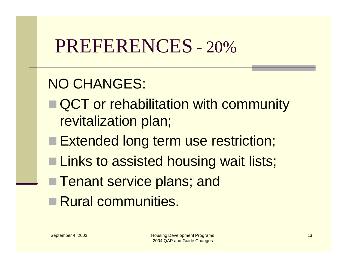## PREFERENCES - 20%

#### NO CHANGES:

- QCT or rehabilitation with community revitalization plan;
- Extended long term use restriction;
- **Links to assisted housing wait lists;**
- **Tenant service plans; and**
- Rural communities.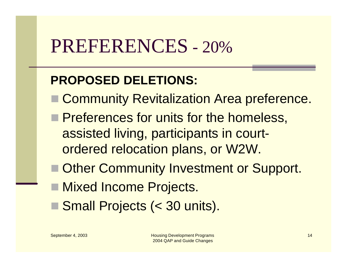# PREFERENCES - 20%

#### **PROPOSED DELETIONS:**

- Community Revitalization Area preference.
- **n Preferences for units for the homeless,** assisted living, participants in courtordered relocation plans, or W2W.
- Other Community Investment or Support.
- Mixed Income Projects.
- Small Projects (< 30 units).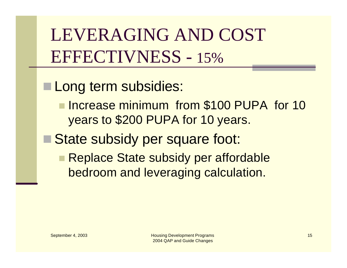LEVERAGING AND COST EFFECTIVNESS - 15%

Long term subsidies:

**n Increase minimum from \$100 PUPA for 10** years to \$200 PUPA for 10 years.

State subsidy per square foot:

**Replace State subsidy per affordable** bedroom and leveraging calculation.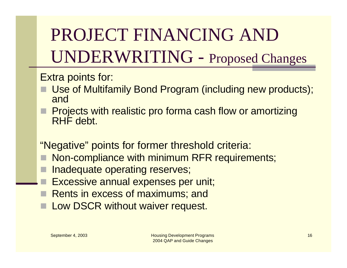PROJECT FINANCING AND UNDERWRITING - Proposed Changes

Extra points for:

- Use of Multifamily Bond Program (including new products); and
- Projects with realistic pro forma cash flow or amortizing RHF debt.

"Negative" points for former threshold criteria:

- Non-compliance with minimum RFR requirements;
- Inadequate operating reserves;
- Excessive annual expenses per unit;
- Rents in excess of maximums; and
- Low DSCR without waiver request.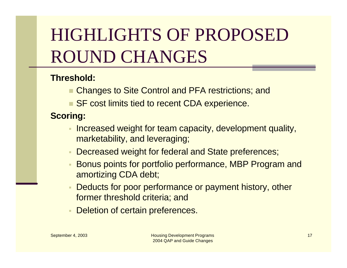# HIGHLIGHTS OF PROPOSED ROUND CHANGES

#### **Threshold:**

- **n Changes to Site Control and PFA restrictions; and**
- SF cost limits tied to recent CDA experience.

#### **Scoring:**

- **Increased weight for team capacity, development quality,** marketability, and leveraging;
- **Decreased weight for federal and State preferences;**
- **Bonus points for portfolio performance, MBP Program and** amortizing CDA debt;
- Deducts for poor performance or payment history, other former threshold criteria; and
- **Deletion of certain preferences.**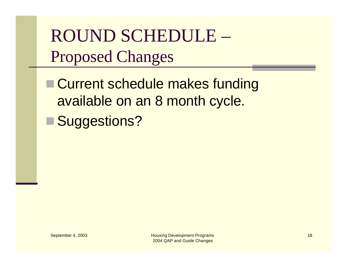ROUND SCHEDULE – Proposed Changes

**n Current schedule makes funding** available on an 8 month cycle.

■ Suggestions?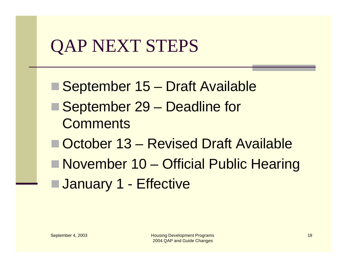## QAP NEXT STEPS

■ September 15 – Draft Available ■ September 29 – Deadline for **Comments** ■ October 13 – Revised Draft Available ■ November 10 – Official Public Hearing **January 1 - Effective**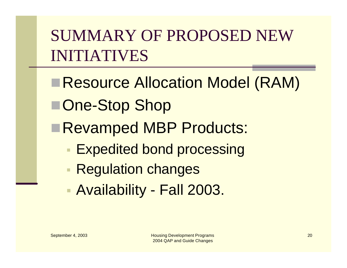SUMMARY OF PROPOSED NEW INITIATIVES

**Resource Allocation Model (RAM)** ■One-Stop Shop Revamped MBP Products: **Expedited bond processing Regulation changes** ß Availability - Fall 2003.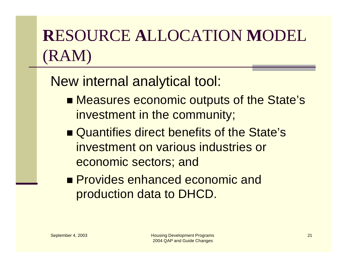## **R**ESOURCE **A**LLOCATION **M**ODEL (RAM)

New internal analytical tool:

- Measures economic outputs of the State's investment in the community;
- Quantifies direct benefits of the State's investment on various industries or economic sectors; and
- **n** Provides enhanced economic and production data to DHCD.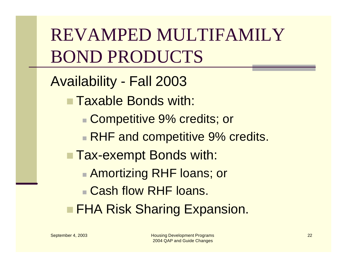REVAMPED MULTIFAMILY BOND PRODUCTS

Availability - Fall 2003

n Taxable Bonds with:

■ Competitive 9% credits; or

**RHF and competitive 9% credits.** 

**Tax-exempt Bonds with:** 

**Amortizing RHF loans; or** 

**n Cash flow RHF loans.** 

**FHA Risk Sharing Expansion.**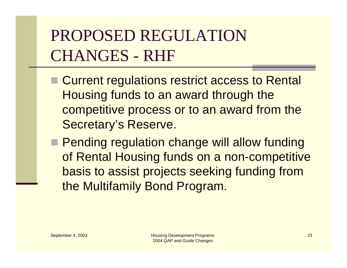## PROPOSED REGULATION CHANGES - RHF

- Current regulations restrict access to Rental Housing funds to an award through the competitive process or to an award from the Secretary's Reserve.
- **n Pending regulation change will allow funding** of Rental Housing funds on a non-competitive basis to assist projects seeking funding from the Multifamily Bond Program.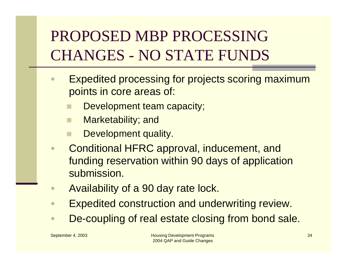### PROPOSED MBP PROCESSING CHANGES - NO STATE FUNDS

- **Expedited processing for projects scoring maximum** points in core areas of:
	- Development team capacity;
	- Marketability; and
	- Development quality.
- **E** Conditional HFRC approval, inducement, and funding reservation within 90 days of application submission.
- **EXEQ Availability of a 90 day rate lock.**
- **Expedited construction and underwriting review.**
- **E. De-coupling of real estate closing from bond sale.**